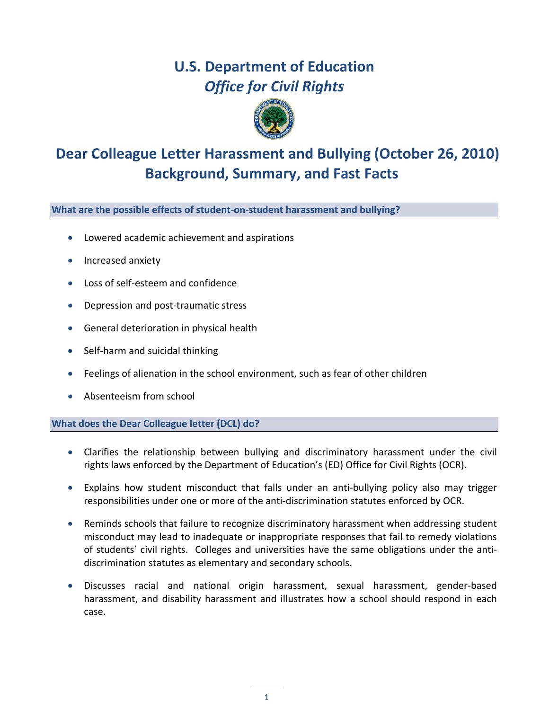# **U.S. Department of Education** *Office for Civil Rights*



## **Dear Colleague Letter Harassment and Bullying (October 26, 2010) Background, Summary, and Fast Facts**

**What are the possible effects of student‐on‐student harassment and bullying?**

- Lowered academic achievement and aspirations
- Increased anxiety
- Loss of self‐esteem and confidence
- Depression and post‐traumatic stress
- General deterioration in physical health
- Self-harm and suicidal thinking
- Feelings of alienation in the school environment, such as fear of other children
- Absenteeism from school

## **What does the Dear Colleague letter (DCL) do?**

- Clarifies the relationship between bullying and discriminatory harassment under the civil rights laws enforced by the Department of Education's (ED) Office for Civil Rights (OCR).
- Explains how student misconduct that falls under an anti‐bullying policy also may trigger responsibilities under one or more of the anti‐discrimination statutes enforced by OCR.
- Reminds schools that failure to recognize discriminatory harassment when addressing student misconduct may lead to inadequate or inappropriate responses that fail to remedy violations of students' civil rights. Colleges and universities have the same obligations under the anti‐ discrimination statutes as elementary and secondary schools.
- Discusses racial and national origin harassment, sexual harassment, gender‐based harassment, and disability harassment and illustrates how a school should respond in each case.